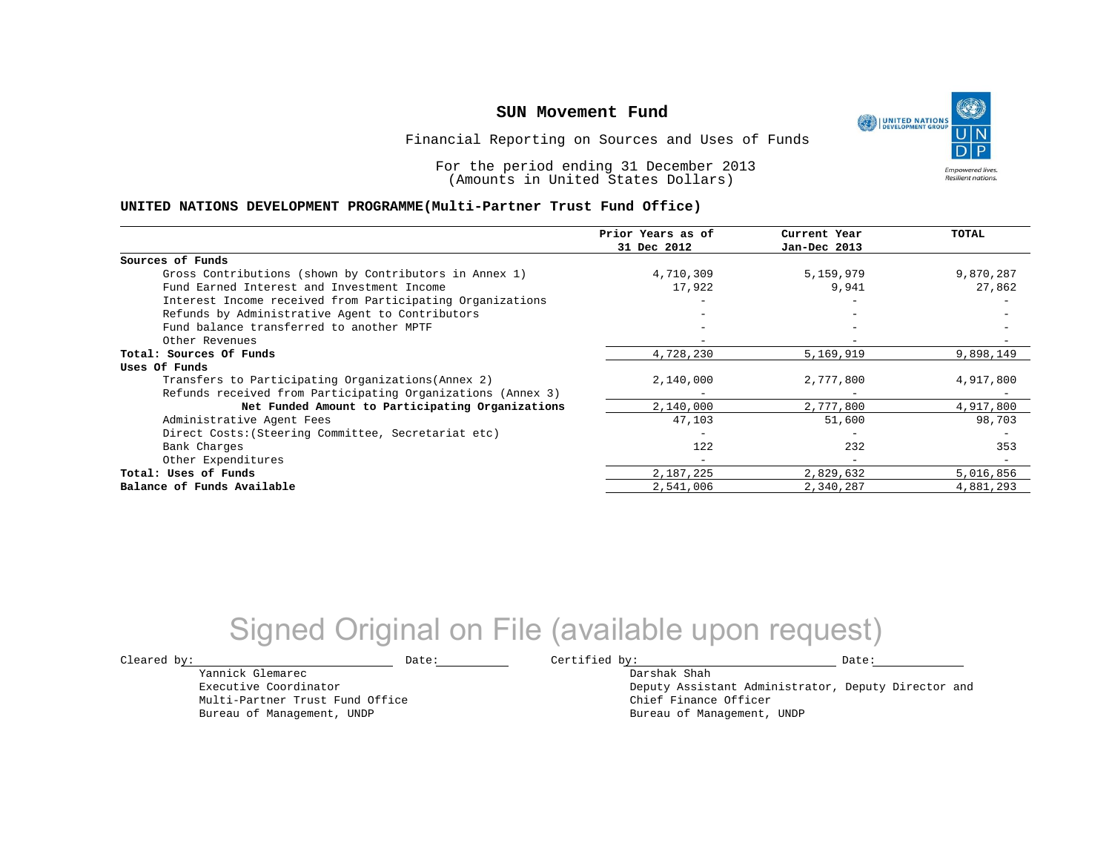UNITED NATIONS **Empowered lives Resilient nations.** 

Financial Reporting on Sources and Uses of Funds

For the period ending 31 December 2013 (Amounts in United States Dollars)

### **UNITED NATIONS DEVELOPMENT PROGRAMME(Multi-Partner Trust Fund Office)**

|                                                             | Prior Years as of<br>31 Dec 2012 | Current Year<br>Jan-Dec 2013 | <b>TOTAL</b> |
|-------------------------------------------------------------|----------------------------------|------------------------------|--------------|
|                                                             |                                  |                              |              |
| Sources of Funds                                            |                                  |                              |              |
| Gross Contributions (shown by Contributors in Annex 1)      | 4,710,309                        | 5,159,979                    | 9,870,287    |
| Fund Earned Interest and Investment Income                  | 17,922                           | 9,941                        | 27,862       |
| Interest Income received from Participating Organizations   |                                  |                              |              |
| Refunds by Administrative Agent to Contributors             |                                  | $\overline{\phantom{0}}$     |              |
| Fund balance transferred to another MPTF                    |                                  |                              |              |
| Other Revenues                                              |                                  |                              |              |
| Total: Sources Of Funds                                     | 4,728,230                        | 5,169,919                    | 9,898,149    |
| Uses Of Funds                                               |                                  |                              |              |
| Transfers to Participating Organizations (Annex 2)          | 2,140,000                        | 2,777,800                    | 4,917,800    |
| Refunds received from Participating Organizations (Annex 3) | -                                |                              |              |
| Net Funded Amount to Participating Organizations            | 2,140,000                        | 2,777,800                    | 4,917,800    |
| Administrative Agent Fees                                   | 47,103                           | 51,600                       | 98,703       |
| Direct Costs: (Steering Committee, Secretariat etc)         |                                  |                              |              |
| Bank Charges                                                | 122                              | 232                          | 353          |
| Other Expenditures                                          | -                                | $\overline{\phantom{0}}$     |              |
| Total: Uses of Funds                                        | 2,187,225                        | 2,829,632                    | 5,016,856    |
| Balance of Funds Available                                  | 2,541,006                        | 2,340,287                    | 4,881,293    |

# Signed Original on File (available upon request)

Yannick Glemarec Executive Coordinator Multi-Partner Trust Fund Office Bureau of Management, UNDP

 $\texttt{Cleared by:}\footnotesize \begin{minipage}{14pt} \begin{tabular}{p{0.87\textwidth}p{0.87\textwidth}} \centering \end{tabular} \end{minipage}$ Darshak Shah

Deputy Assistant Administrator, Deputy Director and Chief Finance Officer Bureau of Management, UNDP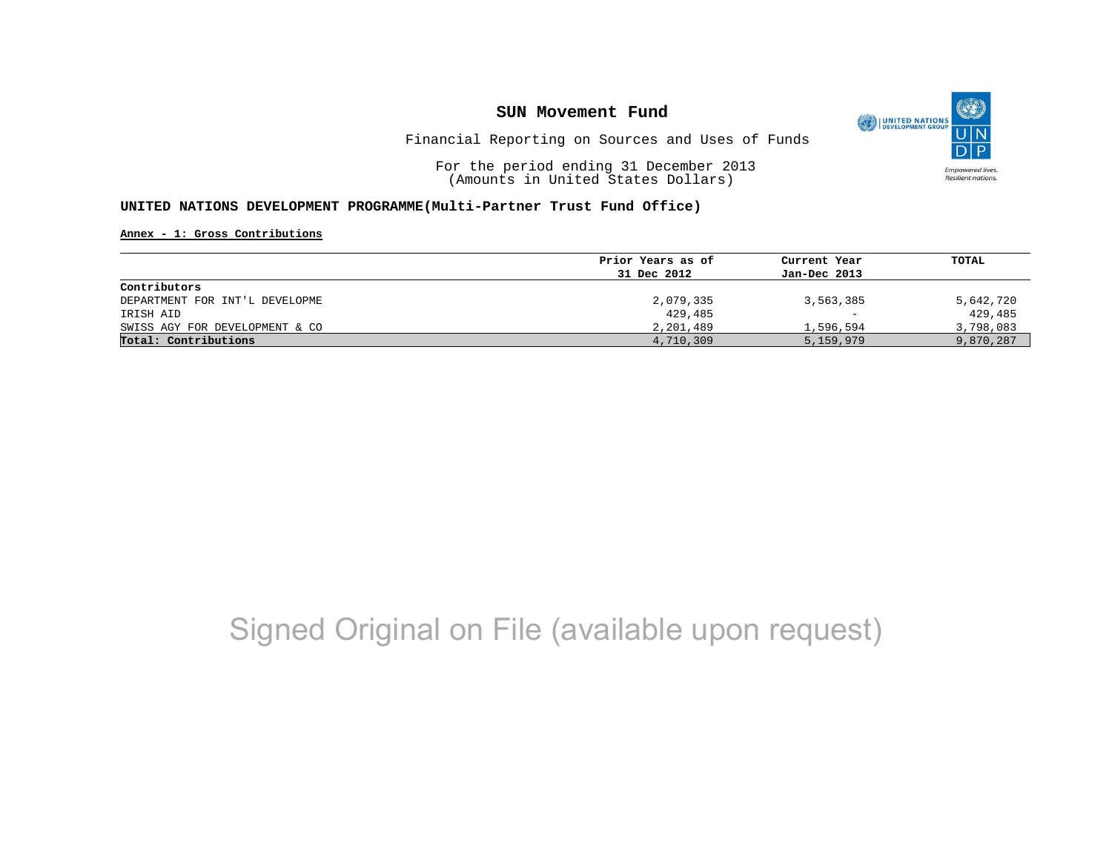

Financial Reporting on Sources and Uses of Funds

For the period ending 31 December 2013 (Amounts in United States Dollars)

### **UNITED NATIONS DEVELOPMENT PROGRAMME(Multi-Partner Trust Fund Office)**

**Annex - 1: Gross Contributions**

| Prior Years as of | Current Year             | TOTAL     |
|-------------------|--------------------------|-----------|
| 31 Dec 2012       | Jan-Dec 2013             |           |
|                   |                          |           |
| 2,079,335         | 3,563,385                | 5,642,720 |
| 429,485           | $\overline{\phantom{m}}$ | 429,485   |
| 2,201,489         | 1,596,594                | 3,798,083 |
| 4,710,309         | 5,159,979                | 9,870,287 |
|                   |                          |           |

# Signed Original on File (available upon request)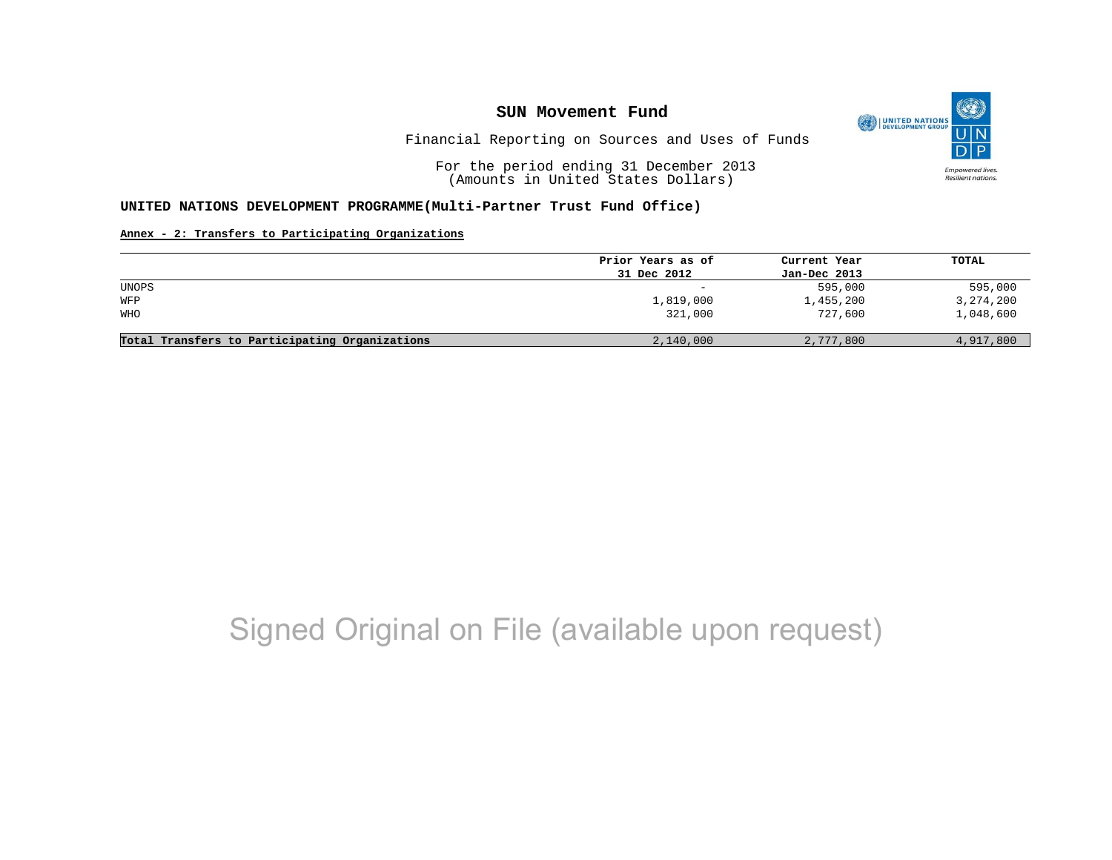

Financial Reporting on Sources and Uses of Funds

For the period ending 31 December 2013 (Amounts in United States Dollars)

#### **UNITED NATIONS DEVELOPMENT PROGRAMME(Multi-Partner Trust Fund Office)**

#### **Annex - 2: Transfers to Participating Organizations**

| Prior Years as of | Current Year | TOTAL       |
|-------------------|--------------|-------------|
| 31 Dec 2012       | Jan-Dec 2013 |             |
| -                 | 595,000      | 595,000     |
| 1,819,000         | 1,455,200    | 3, 274, 200 |
| 321,000           | 727,600      | 1,048,600   |
|                   |              |             |
| 2,140,000         | 2,777,800    | 4,917,800   |
|                   |              |             |

# Signed Original on File (available upon request)